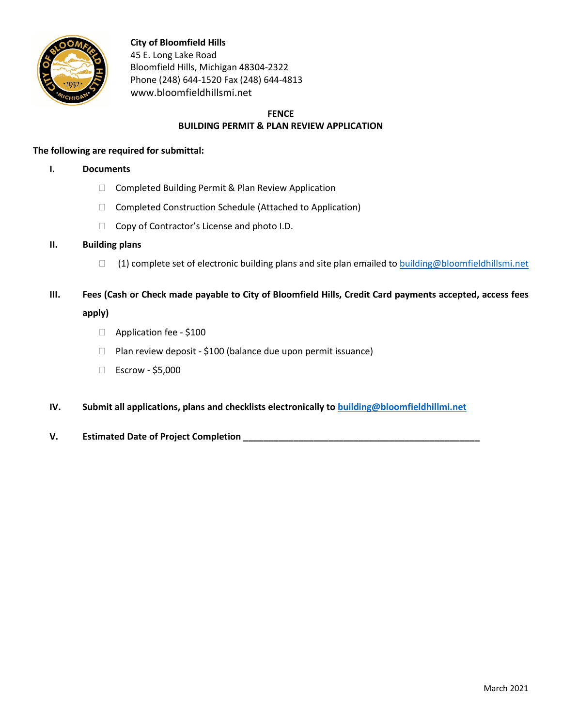

**City of Bloomfield Hills** 45 E. Long Lake Road Bloomfield Hills, Michigan 48304-2322 Phone (248) 644-1520 Fax (248) 644-4813 www.bloomfieldhillsmi.net

## **FENCE BUILDING PERMIT & PLAN REVIEW APPLICATION**

## **The following are required for submittal:**

- **I. Documents**
	- □ Completed Building Permit & Plan Review Application
	- Completed Construction Schedule (Attached to Application)
	- $\Box$  Copy of Contractor's License and photo I.D.

## **II. Building plans**

- □ (1) complete set of electronic building plans and site plan emailed t[o building@bloomfieldhillsmi.net](mailto:building@bloomfieldhillsmi.net)
- **III. Fees (Cash or Check made payable to City of Bloomfield Hills, Credit Card payments accepted, access fees apply)** 
	- □ Application fee \$100
	- $\Box$  Plan review deposit \$100 (balance due upon permit issuance)
	- Escrow \$5,000
- **IV. Submit all applications, plans and checklists electronically to [building@bloomfieldhillmi.net](mailto:building@bloomfieldhillmi.net)**
- **V. Estimated Date of Project Completion \_\_\_\_\_\_\_\_\_\_\_\_\_\_\_\_\_\_\_\_\_\_\_\_\_\_\_\_\_\_\_\_\_\_\_\_\_\_\_\_\_\_\_\_\_\_\_**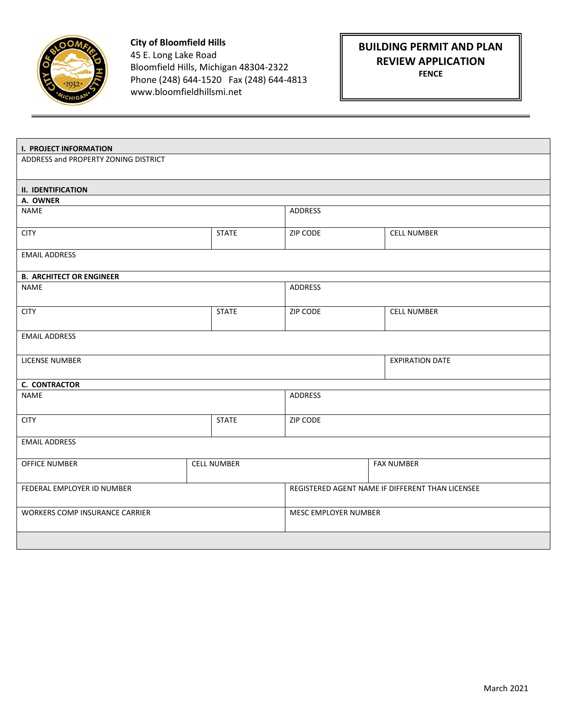

**City of Bloomfield Hills** 45 E. Long Lake Road Bloomfield Hills, Michigan 48304-2322 Phone (248) 644-1520 Fax (248) 644-4813 www.bloomfieldhillsmi.net

## **BUILDING PERMIT AND PLAN REVIEW APPLICATION**

**FENCE** 

| <b>I. PROJECT INFORMATION</b>         |                    |                |                                                  |  |  |  |
|---------------------------------------|--------------------|----------------|--------------------------------------------------|--|--|--|
| ADDRESS and PROPERTY ZONING DISTRICT  |                    |                |                                                  |  |  |  |
| <b>II. IDENTIFICATION</b>             |                    |                |                                                  |  |  |  |
| A. OWNER                              |                    |                |                                                  |  |  |  |
| NAME                                  |                    | ADDRESS        |                                                  |  |  |  |
| <b>CITY</b>                           | <b>STATE</b>       | ZIP CODE       | <b>CELL NUMBER</b>                               |  |  |  |
| <b>EMAIL ADDRESS</b>                  |                    |                |                                                  |  |  |  |
| <b>B. ARCHITECT OR ENGINEER</b>       |                    |                |                                                  |  |  |  |
| <b>NAME</b>                           |                    | <b>ADDRESS</b> |                                                  |  |  |  |
| <b>CITY</b>                           | <b>STATE</b>       | ZIP CODE       | <b>CELL NUMBER</b>                               |  |  |  |
| <b>EMAIL ADDRESS</b>                  |                    |                |                                                  |  |  |  |
| LICENSE NUMBER                        |                    |                | <b>EXPIRATION DATE</b>                           |  |  |  |
| <b>C. CONTRACTOR</b>                  |                    |                |                                                  |  |  |  |
| NAME                                  |                    | <b>ADDRESS</b> |                                                  |  |  |  |
| <b>CITY</b>                           | <b>STATE</b>       | ZIP CODE       |                                                  |  |  |  |
| <b>EMAIL ADDRESS</b>                  |                    |                |                                                  |  |  |  |
| OFFICE NUMBER                         | <b>CELL NUMBER</b> |                | <b>FAX NUMBER</b>                                |  |  |  |
| FEDERAL EMPLOYER ID NUMBER            |                    |                | REGISTERED AGENT NAME IF DIFFERENT THAN LICENSEE |  |  |  |
| <b>WORKERS COMP INSURANCE CARRIER</b> |                    |                | MESC EMPLOYER NUMBER                             |  |  |  |
|                                       |                    |                |                                                  |  |  |  |